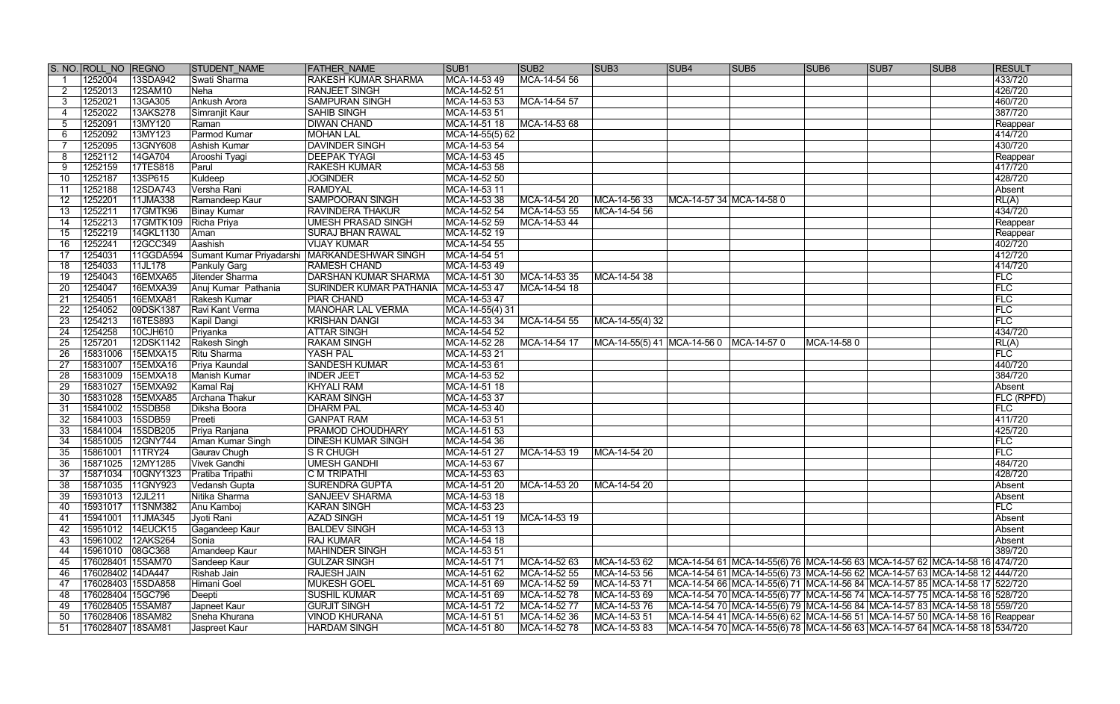|                       | S. NO. ROLL NO REGNO         |                                | <b>STUDENT NAME</b>          | <b>FATHER NAME</b>                           | SUB <sub>1</sub>             | SUB <sub>2</sub> | SUB <sub>3</sub>                        | <b>SUB4</b>                | SUB <sub>5</sub>                                                                  | SUB <sub>6</sub> | SUB7 | SUB <sub>8</sub> | <b>RESULT</b>     |
|-----------------------|------------------------------|--------------------------------|------------------------------|----------------------------------------------|------------------------------|------------------|-----------------------------------------|----------------------------|-----------------------------------------------------------------------------------|------------------|------|------------------|-------------------|
|                       | 1252004                      | 13SDA942                       | Swati Sharma                 | RAKESH KUMAR SHARMA                          | MCA-14-53 49                 | MCA-14-54 56     |                                         |                            |                                                                                   |                  |      |                  | 433/720           |
|                       | 1252013                      | 12SAM10                        | <b>Neha</b>                  | <b>RANJEET SINGH</b>                         | MCA-14-52 51                 |                  |                                         |                            |                                                                                   |                  |      |                  | 426/720           |
| 3                     | 1252021                      | 13GA305                        | <b>Ankush Arora</b>          | <b>SAMPURAN SINGH</b>                        | MCA-14-53 53                 | MCA-14-54 57     |                                         |                            |                                                                                   |                  |      |                  | 460/720           |
|                       | 1252022                      | 13AKS278                       | Simranjit Kaur               | <b>SAHIB SINGH</b>                           | MCA-14-53 51                 |                  |                                         |                            |                                                                                   |                  |      |                  | 387/720           |
| 5                     | 1252091                      | 13MY120                        | Raman                        | <b>DIWAN CHAND</b>                           | MCA-14-51 18                 | MCA-14-53 68     |                                         |                            |                                                                                   |                  |      |                  | Reappear          |
| 6                     | 1252092                      | 13MY123                        | Parmod Kumar                 | <b>MOHAN LAL</b>                             | MCA-14-55(5) 62              |                  |                                         |                            |                                                                                   |                  |      |                  | 414/720           |
|                       | 1252095                      | 13GNY608                       | <b>Ashish Kumar</b>          | <b>DAVINDER SINGH</b>                        | MCA-14-53 54                 |                  |                                         |                            |                                                                                   |                  |      |                  | 430/720           |
|                       | 1252112                      | 14GA704                        | Arooshi Tyagi                | <b>DEEPAK TYAGI</b>                          | MCA-14-53 45                 |                  |                                         |                            |                                                                                   |                  |      |                  | Reappear          |
| 9                     | 1252159                      | 17TES818                       | Parul                        | <b>RAKESH KUMAR</b>                          | MCA-14-53 58                 |                  |                                         |                            |                                                                                   |                  |      |                  | 417/720           |
| 10                    | 1252187                      | 13SP615                        | Kuldeep                      | <b>JOGINDER</b>                              | MCA-14-52 50                 |                  |                                         |                            |                                                                                   |                  |      |                  | 428/720           |
| 11                    | 1252188                      | 12SDA743                       | Versha Rani                  | <b>RAMDYAL</b>                               | MCA-14-53 11                 |                  |                                         |                            |                                                                                   |                  |      |                  | Absent            |
| 12 <sup>°</sup>       | 1252201                      | 11JMA338                       | Ramandeep Kaur               | <b>SAMPOORAN SINGH</b>                       | MCA-14-53 38                 | MCA-14-54 20     | MCA-14-56 33                            | MCA-14-57 34   MCA-14-58 0 |                                                                                   |                  |      |                  | RL(A)             |
| 13                    | 125221'                      | 17GMTK96                       | <b>Binay Kumar</b>           | <b>RAVINDERA THAKUR</b>                      | MCA-14-52 54                 | MCA-14-53 55     | MCA-14-54 56                            |                            |                                                                                   |                  |      |                  | 434/720           |
| 14                    | 1252213                      | 17GMTK109                      | Richa Priya                  | <b>UMESH PRASAD SINGH</b>                    | MCA-14-52 59                 | MCA-14-53 44     |                                         |                            |                                                                                   |                  |      |                  | Reappear          |
| $15\,$                | 1252219                      | 14GKL1130                      | Aman                         | <b>SURAJ BHAN RAWAL</b>                      | MCA-14-52 19                 |                  |                                         |                            |                                                                                   |                  |      |                  | Reappear          |
| 16                    | 1252241                      | 12GCC349                       | Aashish                      | <b>VIJAY KUMAR</b>                           | MCA-14-54 55                 |                  |                                         |                            |                                                                                   |                  |      |                  | 402/720           |
| 17                    | 1254031                      | 11GGDA594                      |                              | Sumant Kumar Priyadarshi MARKANDESHWAR SINGH | MCA-14-54 51                 |                  |                                         |                            |                                                                                   |                  |      |                  | 412/720           |
| 18                    | 1254033                      | 11JL178                        | Pankuly Garg                 | <b>RAMESH CHAND</b>                          | MCA-14-53 49                 |                  |                                         |                            |                                                                                   |                  |      |                  | 414/720           |
| 19                    | 1254043                      | 16EMXA65                       | Jitender Sharma              | <b>DARSHAN KUMAR SHARMA</b>                  | MCA-14-51 30                 | MCA-14-53 35     | MCA-14-54 38                            |                            |                                                                                   |                  |      |                  | FLC               |
| 20                    | 1254047                      | 16EMXA39                       | Anuj Kumar Pathania          | SURINDER KUMAR PATHANIA   MCA-14-53 47       |                              | MCA-14-54 18     |                                         |                            |                                                                                   |                  |      |                  | FLC               |
| 21                    | 1254051                      | 16EMXA81                       | Rakesh Kumar                 | <b>PIAR CHAND</b>                            | MCA-14-53 47                 |                  |                                         |                            |                                                                                   |                  |      |                  | FLC               |
| 22                    | 1254052                      | 09DSK1387                      | Ravi Kant Verma              | <b>MANOHAR LAL VERMA</b>                     | $ MCA-14-55(4)$ 31           |                  |                                         |                            |                                                                                   |                  |      |                  | FLC               |
| 23                    | 1254213                      | 16TES893                       | Kapil Dangi                  | <b>KRISHAN DANGI</b>                         | MCA-14-53 34                 | MCA-14-54 55     | MCA-14-55(4) 32                         |                            |                                                                                   |                  |      |                  | FLC               |
| 24                    | 1254258                      | 10CJH610                       | Priyanka                     | <b>ATTAR SINGH</b>                           | MCA-14-54 52                 |                  |                                         |                            |                                                                                   |                  |      |                  | 434/720           |
| 25                    | 1257201                      | 12DSK1142                      | Rakesh Singh                 | <b>RAKAM SINGH</b>                           | MCA-14-52 28                 | MCA-14-54 17     | MCA-14-55(5) 41 MCA-14-56 0 MCA-14-57 0 |                            |                                                                                   | MCA-14-580       |      |                  | RL(A)             |
| 26                    | 15831006                     | <b>15EMXA15</b>                | Ritu Sharma                  | <b>YASH PAL</b>                              | MCA-14-53 21                 |                  |                                         |                            |                                                                                   |                  |      |                  | <b>FLC</b>        |
| 27                    | 15831007                     | 15EMXA16                       | Priya Kaundal                | <b>SANDESH KUMAR</b>                         | MCA-14-53 61                 |                  |                                         |                            |                                                                                   |                  |      |                  | 440/720           |
| $\overline{28}$       | 15831009                     | 15EMXA18                       | <b>Manish Kumar</b>          | <b>INDER JEET</b>                            | MCA-14-53 52                 |                  |                                         |                            |                                                                                   |                  |      |                  | 384/720           |
| 29                    | 15831027                     | <b>15EMXA92</b>                | <b>Kamal Raj</b>             | <b>KHYALI RAM</b>                            | MCA-14-51 18                 |                  |                                         |                            |                                                                                   |                  |      |                  | Absent            |
| 30                    | 15831028                     | <b>15EMXA85</b>                | <b>Archana Thakur</b>        | <b>KARAM SINGH</b>                           | MCA-14-53 37                 |                  |                                         |                            |                                                                                   |                  |      |                  | <b>FLC (RPFD)</b> |
| 31                    | 15841002                     | 15SDB58                        | Diksha Boora                 | <b>DHARM PAL</b>                             | MCA-14-53 40                 |                  |                                         |                            |                                                                                   |                  |      |                  | <b>FLC</b>        |
| 32                    | 15841003                     | 15SDB59                        | Preeti                       | <b>GANPAT RAM</b>                            | MCA-14-53 51                 |                  |                                         |                            |                                                                                   |                  |      |                  | 411/720           |
| 33                    | 15841004                     | 15SDB205                       | Priya Ranjana                | PRAMOD CHOUDHARY                             | MCA-14-51 53                 |                  |                                         |                            |                                                                                   |                  |      |                  | 425/720<br>FLC    |
| 34                    | 15851005<br>15861001 11TRY24 | 12GNY744                       | Aman Kumar Singh             | <b>DINESH KUMAR SINGH</b>                    | MCA-14-54 36                 |                  |                                         |                            |                                                                                   |                  |      |                  | FLC               |
| 35<br>$\overline{36}$ |                              |                                | Gaurav Chugh<br>Vivek Gandhi | $S$ R CHUGH<br><b>UMESH GANDHI</b>           | MCA-14-51 27<br>MCA-14-53 67 | MCA-14-53 19     | MCA-14-54 20                            |                            |                                                                                   |                  |      |                  | 484/720           |
|                       | 15871034                     | 15871025 12MY1285<br>10GNY1323 | Pratiba Tripathi             | C M TRIPATHI                                 | MCA-14-53 63                 |                  |                                         |                            |                                                                                   |                  |      |                  | 428/720           |
| 37<br>38              | 15871035                     | 11GNY923                       | Vedansh Gupta                | <b>SURENDRA GUPTA</b>                        | MCA-14-51 20                 | MCA-14-53 20     | MCA-14-54 20                            |                            |                                                                                   |                  |      |                  | Absent            |
| 39                    | 15931013                     | 12JL211                        | Nitika Sharma                | <b>SANJEEV SHARMA</b>                        | MCA-14-53 18                 |                  |                                         |                            |                                                                                   |                  |      |                  | Absent            |
| 40                    | 15931017                     | 11SNM382                       | Anu Kamboj                   | <b>KARAN SINGH</b>                           | MCA-14-53 23                 |                  |                                         |                            |                                                                                   |                  |      |                  | FLC               |
| 41                    | 15941001                     | 11JMA345                       | Jyoti Rani                   | <b>AZAD SINGH</b>                            | MCA-14-51 19                 | MCA-14-53 19     |                                         |                            |                                                                                   |                  |      |                  | Absent            |
| 42                    | 15951012                     | 14EUCK15                       | Gagandeep Kaur               | <b>BALDEV SINGH</b>                          | MCA-14-53 13                 |                  |                                         |                            |                                                                                   |                  |      |                  | Absent            |
| 43                    | 15961002                     | 12AKS264                       | Sonia                        | <b>RAJ KUMAR</b>                             | MCA-14-54 18                 |                  |                                         |                            |                                                                                   |                  |      |                  | Absent            |
| 44                    | 15961010 08GC368             |                                | Amandeep Kaur                | <b>MAHINDER SINGH</b>                        | MCA-14-53 51                 |                  |                                         |                            |                                                                                   |                  |      |                  | 389/720           |
| 45                    | 176028401 15SAM70            |                                | Sandeep Kaur                 | <b>GULZAR SINGH</b>                          | MCA-14-51 71                 | MCA-14-52 63     | MCA-14-53 62                            |                            | MCA-14-54 61 MCA-14-55(6) 76 MCA-14-56 63 MCA-14-57 62 MCA-14-58 16 474/720       |                  |      |                  |                   |
| 46                    | 176028402 14DA447            |                                | Rishab Jain                  | <b>RAJESH JAIN</b>                           | MCA-14-51 62                 | MCA-14-52 55     | MCA-14-53 56                            |                            | MCA-14-54 61 MCA-14-55(6) 73 MCA-14-56 62 MCA-14-57 63 MCA-14-58 12 444/720       |                  |      |                  |                   |
| 47                    |                              | 176028403 15SDA858             | Himani Goel                  | <b>MUKESH GOEL</b>                           | MCA-14-51 69                 | MCA-14-52 59     | MCA-14-53 71                            |                            | MCA-14-54 66 MCA-14-55(6) 71 MCA-14-56 84 MCA-14-57 85 MCA-14-58 17 522/720       |                  |      |                  |                   |
| 48                    | 176028404 15GC796            |                                | Deepti                       | <b>SUSHIL KUMAR</b>                          | MCA-14-51 69                 | MCA-14-52 78     | MCA-14-53 69                            |                            | MCA-14-54 70  MCA-14-55(6) 77  MCA-14-56 74  MCA-14-57 75  MCA-14-58 16   528/720 |                  |      |                  |                   |
| 49                    | 176028405 15SAM87            |                                | Japneet Kaur                 | <b>GURJIT SINGH</b>                          | MCA-14-51 72                 | MCA-14-52 77     | MCA-14-53 76                            |                            | MCA-14-54 70 MCA-14-55(6) 79 MCA-14-56 84 MCA-14-57 83 MCA-14-58 18 559/720       |                  |      |                  |                   |
| 50                    | 176028406 18SAM82            |                                | Sneha Khurana                | <b>VINOD KHURANA</b>                         | MCA-14-51 51                 | MCA-14-52 36     | MCA-14-53 51                            |                            | MCA-14-54 41 MCA-14-55(6) 62 MCA-14-56 51 MCA-14-57 50 MCA-14-58 16 Reappear      |                  |      |                  |                   |
| 51                    | 176028407 18SAM81            |                                | Jaspreet Kaur                | <b>HARDAM SINGH</b>                          | MCA-14-51 80                 | MCA-14-52 78     | MCA-14-53 83                            |                            | MCA-14-54 70  MCA-14-55(6) 78  MCA-14-56 63  MCA-14-57 64  MCA-14-58 18   534/720 |                  |      |                  |                   |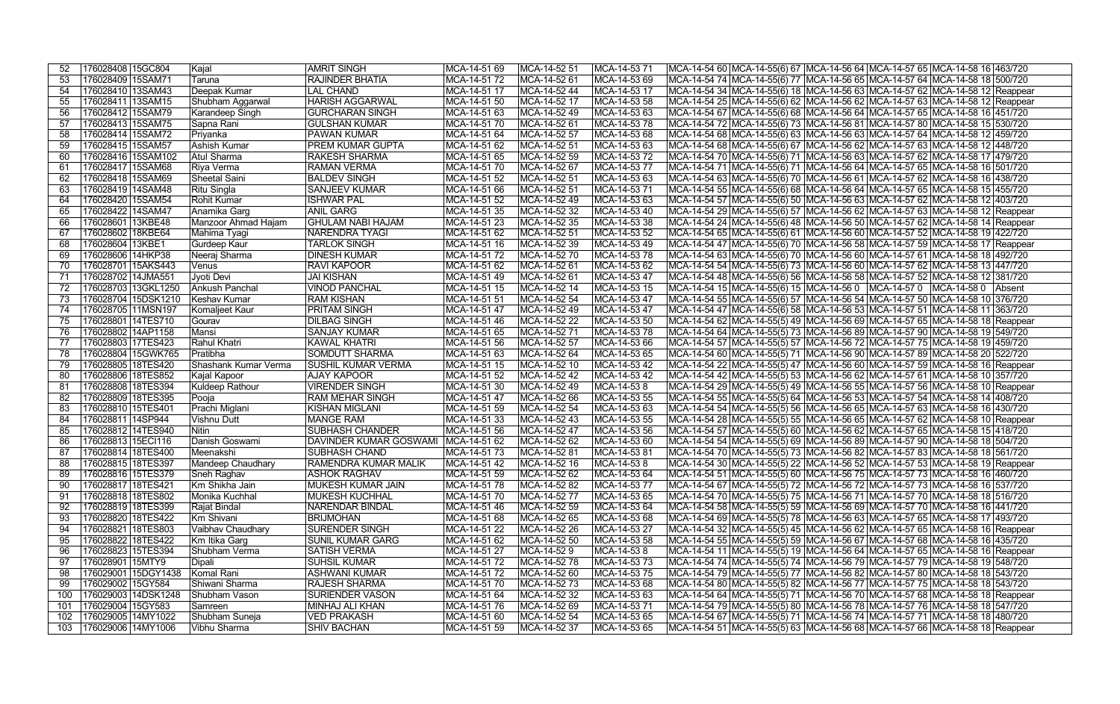|                  |           | 176028408 15GC804     | Kajal                  | <b>AMRIT SINGH</b>                    | MCA-14-51 69 | MCA-14-52 51 | MCA-14-53 7  |                                                                                   |  | MCA-14-54 60 MCA-14-55(6) 67 MCA-14-56 64 MCA-14-57 65 MCA-14-58 16 463/720           |  |
|------------------|-----------|-----------------------|------------------------|---------------------------------------|--------------|--------------|--------------|-----------------------------------------------------------------------------------|--|---------------------------------------------------------------------------------------|--|
| 53               |           | 176028409 15SAM71     | Taruna                 | <b>RAJINDER BHATIA</b>                | MCA-14-51 72 | MCA-14-52 61 | MCA-14-53 69 |                                                                                   |  | MCA-14-54 74   MCA-14-55(6) 77   MCA-14-56 65   MCA-14-57 64   MCA-14-58 18   500/720 |  |
| 54               |           | 176028410 13SAM43     | Deepak Kumar           | <b>LAL CHAND</b>                      | MCA-14-51 17 | MCA-14-52 44 | MCA-14-53 17 |                                                                                   |  | MCA-14-54 34 MCA-14-55(6) 18 MCA-14-56 63 MCA-14-57 62 MCA-14-58 12 Reappear          |  |
| 55               |           | 176028411 13SAM15     | Shubham Aggarwal       | <b>HARISH AGGARWAL</b>                | MCA-14-51 50 | MCA-14-52 17 | MCA-14-53 58 |                                                                                   |  | MCA-14-54 25 MCA-14-55(6) 62 MCA-14-56 62 MCA-14-57 63 MCA-14-58 12 Reappear          |  |
| 56               |           | 176028412 15SAM79     | Karandeep Singh        | <b>GURCHARAN SINGH</b>                | MCA-14-51 63 | MCA-14-52 49 | MCA-14-53 63 |                                                                                   |  | MCA-14-54 67  MCA-14-55(6) 68  MCA-14-56 64  MCA-14-57 65  MCA-14-58 16  451/720      |  |
|                  |           |                       |                        | <b>GULSHAN KUMAR</b>                  |              |              |              |                                                                                   |  |                                                                                       |  |
| 57               |           | 176028413 15SAM75     | Sapna Rani             |                                       | MCA-14-51 70 | MCA-14-52 61 | MCA-14-53 78 |                                                                                   |  | MCA-14-54 72 MCA-14-55(6) 73 MCA-14-56 81 MCA-14-57 80 MCA-14-58 15 530/720           |  |
| 58               |           | 176028414 15SAM72     | Priyanka               | <b>PAWAN KUMAR</b>                    | MCA-14-51 64 | MCA-14-52 57 | MCA-14-53 68 |                                                                                   |  | MCA-14-54 68 MCA-14-55(6) 63 MCA-14-56 63 MCA-14-57 64 MCA-14-58 12 459/720           |  |
| 59               |           | 176028415 15SAM57     | <b>Ashish Kumar</b>    | PREM KUMAR GUPTA                      | MCA-14-51 62 | MCA-14-52 51 | MCA-14-53 63 | MCA-14-54 68  MCA-14-55(6) 67  MCA-14-56 62  MCA-14-57 63  MCA-14-58 12  448/720  |  |                                                                                       |  |
| 60               |           | 176028416 15SAM102    | Atul Sharma            | <b>RAKESH SHARMA</b>                  | MCA-14-51 65 | MCA-14-52 59 | MCA-14-53 72 |                                                                                   |  | MCA-14-54 70 MCA-14-55(6) 71 MCA-14-56 63 MCA-14-57 62 MCA-14-58 17 479/720           |  |
| 61               |           | 176028417 15SAM68     | Riya Verma             | <b>RAMAN VERMA</b>                    | MCA-14-51 70 | MCA-14-52 67 | MCA-14-53 77 |                                                                                   |  | MCA-14-54 71 MCA-14-55(6) 71 MCA-14-56 64 MCA-14-57 65 MCA-14-58 16 501/720           |  |
| 62               |           | 176028418 15SAM69     | Sheetal Saini          | <b>BALDEV SINGH</b>                   | MCA-14-51 52 | MCA-14-52 51 | MCA-14-53 63 |                                                                                   |  | MCA-14-54 63 MCA-14-55(6) 70 MCA-14-56 61 MCA-14-57 62 MCA-14-58 16 438/720           |  |
| 63               |           | 176028419 14SAM48     | Ritu Singla            | <b>SANJEEV KUMAR</b>                  | MCA-14-51 66 | MCA-14-52 51 | MCA-14-53 71 |                                                                                   |  | MCA-14-54 55 MCA-14-55(6) 68 MCA-14-56 64 MCA-14-57 65 MCA-14-58 15 455/720           |  |
| 64               |           | 176028420 15SAM54     | Rohit Kumar            | <b>ISHWAR PAL</b>                     | MCA-14-51 52 | MCA-14-52 49 | MCA-14-53 63 |                                                                                   |  | MCA-14-54 57 MCA-14-55(6) 50 MCA-14-56 63 MCA-14-57 62 MCA-14-58 12 403/720           |  |
| 65               |           | 176028422 14SAM47     | Anamika Garg           | <b>ANIL GARG</b>                      | MCA-14-51 35 | MCA-14-52 32 | MCA-14-53 40 |                                                                                   |  | MCA-14-54 29 MCA-14-55(6) 57 MCA-14-56 62 MCA-14-57 63 MCA-14-58 12 Reappear          |  |
| 66               | 176028601 | 13KBE48               | Manzoor Ahmad Hajam    | <b>GHULAM NABI HAJAM</b>              | MCA-14-51 23 | MCA-14-52 35 | MCA-14-53 38 |                                                                                   |  | MCA-14-54 24 MCA-14-55(6) 48 MCA-14-56 50 MCA-14-57 62 MCA-14-58 14 Reappear          |  |
| 67               | 176028602 | 18KBE64               | Mahima Tyagi           | <b>NARENDRA TYAGI</b>                 | MCA-14-51 62 | MCA-14-52 51 | MCA-14-53 52 |                                                                                   |  | MCA-14-54 65 MCA-14-55(6) 61 MCA-14-56 60 MCA-14-57 52 MCA-14-58 19 422/720           |  |
| 68               | 176028604 | 13KBE1                | <b>Gurdeep Kaur</b>    | <b>TARLOK SINGH</b>                   | MCA-14-51 16 | MCA-14-52 39 | MCA-14-53 49 |                                                                                   |  | MCA-14-54 47 MCA-14-55(6) 70 MCA-14-56 58 MCA-14-57 59 MCA-14-58 17 Reappear          |  |
| 69               | 176028606 | 14HKP38               | Neeraj Sharma          | <b>DINESH KUMAR</b>                   | MCA-14-51 72 | MCA-14-52 70 | MCA-14-53 78 |                                                                                   |  | MCA-14-54 63 MCA-14-55(6) 70 MCA-14-56 60 MCA-14-57 61 MCA-14-58 18 492/720           |  |
| 70               |           | 176028701 15AKS443    | Venus                  | <b>RAVI KAPOOR</b>                    | MCA-14-51 62 | MCA-14-52 61 | MCA-14-53 62 |                                                                                   |  | MCA-14-54 54 MCA-14-55(6) 73 MCA-14-56 60 MCA-14-57 62 MCA-14-58 13 447/720           |  |
| 71               |           | 176028702 14JMA55     | Jyoti Devi             | <b>JAI KISHAN</b>                     | MCA-14-51 49 | MCA-14-52 61 | MCA-14-53 47 |                                                                                   |  | MCA-14-54 48 MCA-14-55(6) 56 MCA-14-56 58 MCA-14-57 52 MCA-14-58 12 381/720           |  |
| 72               |           | 176028703   13GKL1250 | Ankush Panchal         | <b>VINOD PANCHAL</b>                  | MCA-14-51 15 | MCA-14-52 14 | MCA-14-53 15 |                                                                                   |  | MCA-14-54 15 MCA-14-55(6) 15 MCA-14-56 0 MCA-14-57 0 MCA-14-58 0 Absent               |  |
| 73               |           | 176028704 15DSK1210   | Keshav Kumar           | <b>RAM KISHAN</b>                     | MCA-14-51 51 | MCA-14-52 54 | MCA-14-53 47 |                                                                                   |  | MCA-14-54 55  MCA-14-55(6) 57  MCA-14-56 54  MCA-14-57 50  MCA-14-58 10  376/720      |  |
| 74               |           | 176028705   11MSN197  | Komaljeet Kaur         | <b>PRITAM SINGH</b>                   | MCA-14-51 47 | MCA-14-52 49 | MCA-14-53 47 |                                                                                   |  | MCA-14-54 47  MCA-14-55(6) 58  MCA-14-56 53  MCA-14-57 51  MCA-14-58 11  363/720      |  |
| 75               | 176028801 | 14TES710              | Gourav                 | <b>DILBAG SINGH</b>                   | MCA-14-51 46 | MCA-14-52 22 | MCA-14-53 50 | MCA-14-54 62  MCA-14-55(5) 49  MCA-14-56 69  MCA-14-57 65  MCA-14-58 18  Reappear |  |                                                                                       |  |
| 76               |           | 176028802 14AP1158    | Mansi                  | <b>SANJAY KUMAR</b>                   | MCA-14-51 65 | MCA-14-52 71 | MCA-14-53 78 | MCA-14-54 64  MCA-14-55(5) 73  MCA-14-56 89  MCA-14-57 90  MCA-14-58 19   549/720 |  |                                                                                       |  |
| 77               |           | 176028803 17TES423    | Rahul Khatri           | <b>KAWAL KHATRI</b>                   | MCA-14-51 56 | MCA-14-52 57 | MCA-14-53 66 | MCA-14-54 57  MCA-14-55(5) 57  MCA-14-56 72  MCA-14-57 75  MCA-14-58 19  459/720  |  |                                                                                       |  |
|                  |           |                       | Pratibha               | <b>SOMDUTT SHARMA</b>                 |              | MCA-14-52 64 |              |                                                                                   |  |                                                                                       |  |
| 78               |           | 176028804 15GWK765    |                        |                                       | MCA-14-51 63 |              | MCA-14-53 65 | MCA-14-54 60  MCA-14-55(5) 71  MCA-14-56 90  MCA-14-57 89  MCA-14-58 20   522/720 |  |                                                                                       |  |
| 79.              |           | 176028805 18TES420    | Shashank Kumar Verma   | <b>SUSHIL KUMAR VERMA</b>             | MCA-14-51 15 | MCA-14-52 10 | MCA-14-53 42 |                                                                                   |  | MCA-14-54 22 MCA-14-55(5) 47 MCA-14-56 60 MCA-14-57 59 MCA-14-58 16 Reappear          |  |
| 80               |           | 176028806 18TES852    | Kajal Kapoor           | <b>AJAY KAPOOR</b>                    | MCA-14-51 52 | MCA-14-52 42 | MCA-14-53 42 |                                                                                   |  | MCA-14-54 42 MCA-14-55(5) 53 MCA-14-56 62 MCA-14-57 61 MCA-14-58 10 357/720           |  |
| -81              |           | 176028808 18TES394    | <b>Kuldeep Rathour</b> | <b>VIRENDER SINGH</b>                 | MCA-14-51 30 | MCA-14-52 49 | MCA-14-538   |                                                                                   |  | MCA-14-54 29  MCA-14-55(5) 49  MCA-14-56 55  MCA-14-57 56  MCA-14-58 10  Reappear     |  |
| 82               |           | 176028809 18TES395    | Pooja                  | <b>RAM MEHAR SINGH</b>                | MCA-14-51 47 | MCA-14-52 66 | MCA-14-53 55 |                                                                                   |  | MCA-14-54 55 MCA-14-55(5) 64 MCA-14-56 53 MCA-14-57 54 MCA-14-58 14 408/720           |  |
| 83               |           | 176028810 15TES40     | Prachi Miglani         | <b>KISHAN MIGLANI</b>                 | MCA-14-51 59 | MCA-14-52 54 | MCA-14-53 63 |                                                                                   |  | MCA-14-54 54 MCA-14-55(5) 56 MCA-14-56 65 MCA-14-57 63 MCA-14-58 16 430/720           |  |
| 84               |           | 176028811 14SP944     | Vishnu Dutt            | <b>MANGE RAM</b>                      | MCA-14-51 33 | MCA-14-52 43 | MCA-14-53 55 |                                                                                   |  | MCA-14-54 28 MCA-14-55(5) 55 MCA-14-56 65 MCA-14-57 62 MCA-14-58 10 Reappear          |  |
| 85               |           | 176028812   14TES940  | <b>Nitin</b>           | <b>SUBHASH CHANDER</b>                | MCA-14-51 56 | MCA-14-52 47 | MCA-14-53 56 |                                                                                   |  | MCA-14-54 57 MCA-14-55(5) 60 MCA-14-56 62 MCA-14-57 65 MCA-14-58 15 418/720           |  |
| 86               |           | 176028813 15ECI116    | Danish Goswami         | DAVINDER KUMAR GOSWAMI   MCA-14-51 62 |              | MCA-14-52 62 | MCA-14-53 60 |                                                                                   |  | MCA-14-54 54 MCA-14-55(5) 69 MCA-14-56 89 MCA-14-57 90 MCA-14-58 18 504/720           |  |
| 87               |           | 176028814 18TES400    | Meenakshi              | <b>SUBHASH CHAND</b>                  | MCA-14-51 73 | MCA-14-5281  | MCA-14-53 81 |                                                                                   |  | MCA-14-54 70 MCA-14-55(5) 73 MCA-14-56 82 MCA-14-57 83 MCA-14-58 18 561/720           |  |
|                  |           | 176028815 18TES397    | Mandeep Chaudhary      | RAMENDRA KUMAR MALIK                  | MCA-14-51 42 | MCA-14-52 16 | MCA-14-538   |                                                                                   |  | MCA-14-54 30 MCA-14-55(5) 22 MCA-14-56 52 MCA-14-57 53 MCA-14-58 19 Reappear          |  |
|                  |           | 176028816 15TES379    | Sneh Raghav            | ASHOK RAGHAV                          | MCA-14-51 59 | MCA-14-52 62 | MCA-14-53 64 |                                                                                   |  | MCA-14-54 51 MCA-14-55(5) 60 MCA-14-56 75 MCA-14-57 73 MCA-14-58 16 460/720           |  |
| 90               |           | 176028817 18TES421    | Km Shikha Jain         | <b>MUKESH KUMAR JAIN</b>              | MCA-14-51 78 | MCA-14-52 82 | MCA-14-53 77 |                                                                                   |  | MCA-14-54 67   MCA-14-55(5) 72   MCA-14-56 72   MCA-14-57 73   MCA-14-58 16   537/720 |  |
| 91               |           | 176028818 18TES802    | Monika Kuchhal         | <b>MUKESH KUCHHAL</b>                 | MCA-14-51 70 | MCA-14-52 77 | MCA-14-53 65 |                                                                                   |  | MCA-14-54 70  MCA-14-55(5) 75  MCA-14-56 71  MCA-14-57 70  MCA-14-58 18  516/720      |  |
| 92               |           | 176028819 18TES399    | Rajat Bindal           | NARENDAR BINDAL                       | MCA-14-51 46 | MCA-14-52 59 | MCA-14-53 64 |                                                                                   |  | MCA-14-54 58  MCA-14-55(5) 59  MCA-14-56 69  MCA-14-57 70  MCA-14-58 16  441/720      |  |
| 93.              |           | 176028820 18TES422    | Km Shivani             | <b>BRIJMOHAN</b>                      | MCA-14-51 68 | MCA-14-52 65 | MCA-14-53 68 |                                                                                   |  | MCA-14-54 69  MCA-14-55(5) 78  MCA-14-56 63  MCA-14-57 65  MCA-14-58 17  493/720      |  |
| 94               |           | 176028821 18TES803    | Vaibhav Chaudhary      | <b>SURENDER SINGH</b>                 | MCA-14-51 22 | MCA-14-52 26 | MCA-14-53 27 | MCA-14-54 32  MCA-14-55(5) 45  MCA-14-56 62  MCA-14-57 65  MCA-14-58 16  Reappear |  |                                                                                       |  |
| 95               |           | 176028822 18TES422    | Km Itika Garg          | <b>SUNIL KUMAR GARG</b>               | MCA-14-51 62 | MCA-14-52 50 | MCA-14-53 58 | MCA-14-54 55  MCA-14-55(5) 59  MCA-14-56 67  MCA-14-57 68  MCA-14-58 16  435/720  |  |                                                                                       |  |
| 96               |           | 176028823 15TES394    | Shubham Verma          | <b>SATISH VERMA</b>                   | MCA-14-51 27 | MCA-14-52 9  | MCA-14-538   | MCA-14-54 11  MCA-14-55(5) 19  MCA-14-56 64  MCA-14-57 65  MCA-14-58 16  Reappear |  |                                                                                       |  |
| 97               |           | 176028901 15MTY9      | Dipali                 | <b>SUHSIL KUMAR</b>                   | MCA-14-51 72 | MCA-14-52 78 | MCA-14-53 73 |                                                                                   |  | MCA-14-54 74  MCA-14-55(5) 74  MCA-14-56 79  MCA-14-57 79  MCA-14-58 19  548/720      |  |
| 98               |           | 176029001 15DGY1438   | Komal Rani             | <b>ASHWANI KUMAR</b>                  | MCA-14-51 72 | MCA-14-52 60 | MCA-14-53 75 |                                                                                   |  | MCA-14-54 79 MCA-14-55(5) 77 MCA-14-56 82 MCA-14-57 80 MCA-14-58 18 543/720           |  |
| 99.              |           | 176029002 15GY584     | Shiwani Sharma         | <b>RAJESH SHARMA</b>                  | MCA-14-51 70 | MCA-14-52 73 | MCA-14-53 68 |                                                                                   |  | MCA-14-54 80  MCA-14-55(5) 82  MCA-14-56 77  MCA-14-57 75  MCA-14-58 18  543/720      |  |
| 100              |           | 176029003   14DSK1248 | Shubham Vason          | <b>SURIENDER VASON</b>                | MCA-14-51 64 | MCA-14-52 32 | MCA-14-53 63 |                                                                                   |  | MCA-14-54 64  MCA-14-55(5) 71  MCA-14-56 70  MCA-14-57 68  MCA-14-58 18  Reappear     |  |
| 101              |           | 176029004 15GY583     | Samreen                | MINHAJ ALI KHAN                       | MCA-14-51 76 | MCA-14-52 69 | MCA-14-53 71 |                                                                                   |  | MCA-14-54 79  MCA-14-55(5) 80  MCA-14-56 78  MCA-14-57 76  MCA-14-58 18  547/720      |  |
| 102              |           | 176029005 14MY1022    | Shubham Suneja         | <b>VED PRAKASH</b>                    | MCA-14-51 60 | MCA-14-52 54 | MCA-14-53 65 |                                                                                   |  | MCA-14-54 67  MCA-14-55(5) 71  MCA-14-56 74  MCA-14-57 71  MCA-14-58 18  480/720      |  |
| 103 <sub>1</sub> |           | 176029006   14MY1006  | Vibhu Sharma           | <b>SHIV BACHAN</b>                    | MCA-14-51 59 | MCA-14-52 37 | MCA-14-53 65 |                                                                                   |  | MCA-14-54 51  MCA-14-55(5) 63  MCA-14-56 68  MCA-14-57 66  MCA-14-58 18  Reappear     |  |
|                  |           |                       |                        |                                       |              |              |              |                                                                                   |  |                                                                                       |  |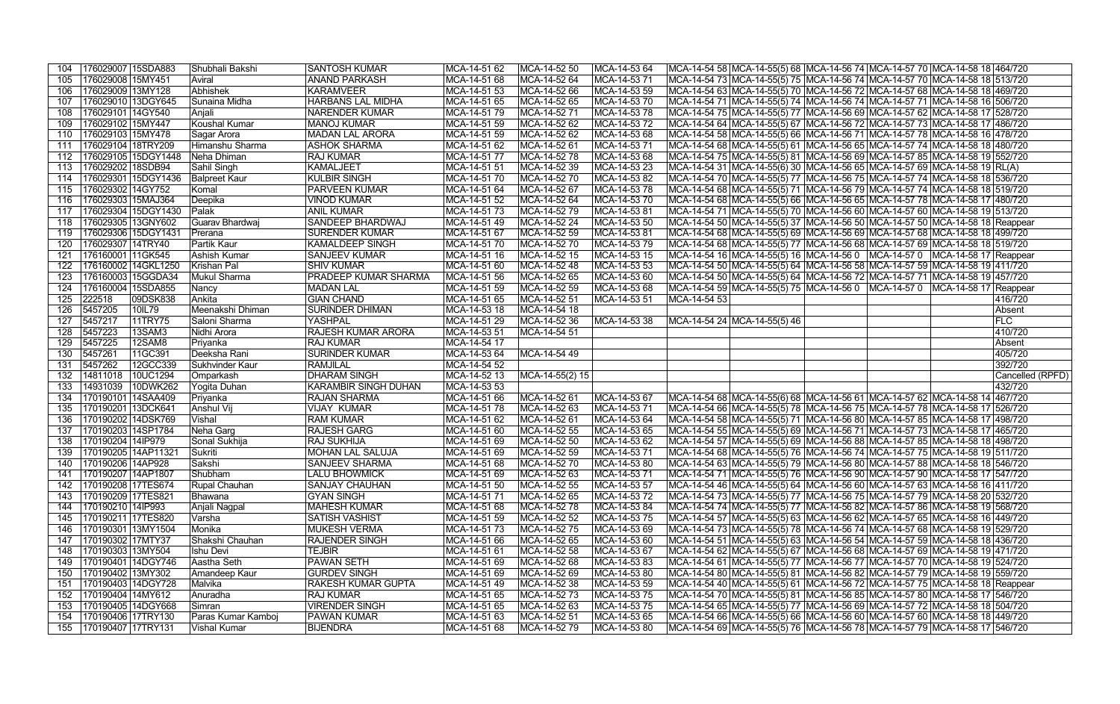| 104 |                     | 176029007 15SDA883   | Shubhali Bakshi                    | <b>SANTOSH KUMAR</b>           | MCA-14-51 62                 | MCA-14-52 50                 | MCA-14-53 64                 |              |                               |  | MCA-14-54 58 MCA-14-55(5) 68 MCA-14-56 74 MCA-14-57 70 MCA-14-58 18 464/720                                                                                           |
|-----|---------------------|----------------------|------------------------------------|--------------------------------|------------------------------|------------------------------|------------------------------|--------------|-------------------------------|--|-----------------------------------------------------------------------------------------------------------------------------------------------------------------------|
| 105 | 176029008   15MY451 |                      | Aviral                             | <b>ANAND PARKASH</b>           | MCA-14-51 68                 | MCA-14-52 64                 | MCA-14-53 71                 |              |                               |  | MCA-14-54 73  MCA-14-55(5) 75  MCA-14-56 74  MCA-14-57 70  MCA-14-58 18  513/720                                                                                      |
| 106 | 176029009 13MY128   |                      | Abhishek                           | <b>KARAMVEER</b>               | MCA-14-51 53                 | MCA-14-52 66                 | MCA-14-53 59                 |              |                               |  | MCA-14-54 63 MCA-14-55(5) 70 MCA-14-56 72 MCA-14-57 68 MCA-14-58 18 469/720                                                                                           |
| 107 |                     | 176029010 13DGY645   | Sunaina Midha                      | <b>HARBANS LAL MIDHA</b>       | MCA-14-51 65                 | MCA-14-52 65                 | MCA-14-53 70                 |              |                               |  | MCA-14-54 71  MCA-14-55(5) 74  MCA-14-56 74  MCA-14-57 71  MCA-14-58 16  506/720                                                                                      |
| 108 | 176029101 14GY540   |                      | Anjali                             | <b>NARENDER KUMAR</b>          | MCA-14-51 79                 | MCA-14-52 71                 | MCA-14-53 78                 |              |                               |  | MCA-14-54 75 MCA-14-55(5) 77 MCA-14-56 69 MCA-14-57 62 MCA-14-58 17 528/720                                                                                           |
| 109 | 176029102 15MY447   |                      | <b>Koushal Kumar</b>               | <b>MANOJ KUMAR</b>             | MCA-14-51 59                 | MCA-14-52 62                 | MCA-14-53 72                 |              |                               |  | MCA-14-54 64 MCA-14-55(5) 67 MCA-14-56 72 MCA-14-57 73 MCA-14-58 17 486/720                                                                                           |
| 110 | 176029103 15MY478   |                      | Sagar Arora                        | <b>MADAN LAL ARORA</b>         | MCA-14-51 59                 | MCA-14-52 62                 | MCA-14-53 68                 |              |                               |  | MCA-14-54 58 MCA-14-55(5) 66 MCA-14-56 71 MCA-14-57 78 MCA-14-58 16 478/720                                                                                           |
| 111 |                     | 176029104 18TRY209   | Himanshu Sharma                    | <b>ASHOK SHARMA</b>            | MCA-14-51 62                 | MCA-14-52 61                 | MCA-14-53 71                 |              |                               |  | MCA-14-54 68 MCA-14-55(5) 61 MCA-14-56 65 MCA-14-57 74 MCA-14-58 18 480/720                                                                                           |
| 112 |                     | 176029105 15DGY1448  | Neha Dhiman                        | <b>RAJ KUMAR</b>               | MCA-14-51 77                 | MCA-14-52 78                 | MCA-14-53 68                 |              |                               |  | MCA-14-54 75  MCA-14-55(5) 81  MCA-14-56 69  MCA-14-57 85  MCA-14-58 19   552/720                                                                                     |
| 113 | 176029202 18SDB94   |                      | Sahil Singh                        | <b>KAMALJEET</b>               | MCA-14-51 51                 | MCA-14-52 39                 | MCA-14-53 23                 |              |                               |  | MCA-14-54 31  MCA-14-55(6) 30  MCA-14-56 65  MCA-14-57 69  MCA-14-58 19  RL(A)                                                                                        |
| 114 |                     | 176029301 15DGY1436  | <b>Balpreet Kaur</b>               | <b>KULBIR SINGH</b>            | MCA-14-51 70                 | MCA-14-52 70                 | MCA-14-53 82                 |              |                               |  | MCA-14-54 70  MCA-14-55(5) 77  MCA-14-56 75  MCA-14-57 74  MCA-14-58 18  536/720                                                                                      |
| 115 | 176029302 14GY752   |                      | Komal                              | <b>PARVEEN KUMAR</b>           | MCA-14-51 64                 | MCA-14-52 67                 | MCA-14-53 78                 |              |                               |  | MCA-14-54 68  MCA-14-55(5) 71  MCA-14-56 79  MCA-14-57 74  MCA-14-58 18  519/720                                                                                      |
| 116 |                     | 176029303 15MAJ364   | Deepika                            | <b>VINOD KUMAR</b>             | MCA-14-51 52                 | MCA-14-52 64                 | MCA-14-53 70                 |              |                               |  | MCA-14-54 68  MCA-14-55(5) 66  MCA-14-56 65  MCA-14-57 78  MCA-14-58 17  480/720                                                                                      |
| 117 |                     | 176029304 15DGY1430  | Palak                              | <b>ANIL KUMAR</b>              | MCA-14-51 73                 | MCA-14-52 79                 | MCA-14-5381                  |              |                               |  | MCA-14-54 71  MCA-14-55(5) 70  MCA-14-56 60  MCA-14-57 60  MCA-14-58 19  513/720                                                                                      |
| 118 |                     | 176029305   13GNY602 | Guarav Bhardwaj                    | SANDEEP BHARDWAJ               | MCA-14-51 49                 | MCA-14-52 24                 | MCA-14-53 50                 |              |                               |  | MCA-14-54 50  MCA-14-55(5) 37  MCA-14-56 50  MCA-14-57 50  MCA-14-58 18  Reappear                                                                                     |
| 119 |                     | 176029306 15DGY1431  | Prerana                            | <b>SURENDER KUMAR</b>          | MCA-14-51 67                 | MCA-14-52 59                 | MCA-14-53 81                 |              |                               |  | MCA-14-54 68 MCA-14-55(5) 69 MCA-14-56 69 MCA-14-57 68 MCA-14-58 18 499/720                                                                                           |
| 120 | 176029307 14TRY40   |                      | <b>Partik Kaur</b>                 | <b>KAMALDEEP SINGH</b>         |                              | MCA-14-52 70                 | MCA-14-53 79                 |              |                               |  |                                                                                                                                                                       |
|     |                     |                      |                                    |                                | MCA-14-51 70<br>MCA-14-51 16 |                              |                              |              |                               |  | MCA-14-54 68  MCA-14-55(5) 77  MCA-14-56 68  MCA-14-57 69  MCA-14-58 18  519/720                                                                                      |
| 121 | 176160001 11GK545   |                      | Ashish Kumar                       | <b>SANJEEV KUMAR</b>           |                              | MCA-14-52 15                 | MCA-14-53 15                 |              |                               |  | MCA-14-54 16 MCA-14-55(5) 16 MCA-14-56 0 MCA-14-57 0 MCA-14-58 17 Reappear                                                                                            |
| 122 |                     | 176160002 14GKL1250  | Krishan Pal                        | <b>SHIV KUMAR</b>              | MCA-14-51 60                 | MCA-14-52 48                 | MCA-14-53 53                 |              |                               |  | MCA-14-54 50  MCA-14-55(5) 64  MCA-14-56 58  MCA-14-57 59  MCA-14-58 19  411/720                                                                                      |
| 123 |                     | 176160003   15GGDA34 | Mukul Sharma                       | PRADEEP KUMAR SHARMA           | MCA-14-51 56                 | MCA-14-52 65                 | MCA-14-53 60                 |              |                               |  | MCA-14-54 50 MCA-14-55(5) 64 MCA-14-56 72 MCA-14-57 71 MCA-14-58 19 457/720                                                                                           |
| 124 |                     | 176160004   15SDA855 | Nancy                              | <b>MADAN LAL</b>               | MCA-14-51 59                 | MCA-14-52 59                 | MCA-14-53 68                 |              |                               |  | MCA-14-54 59  MCA-14-55(5) 75  MCA-14-56 0    MCA-14-57 0    MCA-14-58 17  Reappear                                                                                   |
| 125 | 222518              | 09DSK838             | Ankita                             | <b>GIAN CHAND</b>              | MCA-14-51 65                 | MCA-14-52 51                 | MCA-14-53 51                 | MCA-14-54 53 |                               |  | 416/720                                                                                                                                                               |
| 126 | 5457205             | 10IL79               | Meenakshi Dhiman                   | <b>SURINDER DHIMAN</b>         | MCA-14-53 18                 | MCA-14-54 18                 |                              |              |                               |  | Absent                                                                                                                                                                |
| 127 | 5457217             | 11TRY75              | Saloni Sharma                      | <b>YASHPAL</b>                 | MCA-14-51 29                 | MCA-14-52 36                 | MCA-14-53 38                 |              | MCA-14-54 24  MCA-14-55(5) 46 |  | FLC                                                                                                                                                                   |
| 128 | 5457223             | 13SAM3               | Nidhi Arora                        | RAJESH KUMAR ARORA             | MCA-14-53 51                 | MCA-14-54 51                 |                              |              |                               |  | 410/720                                                                                                                                                               |
| 129 | 5457225             | 12SAM8               | Priyanka                           | <b>RAJ KUMAR</b>               | MCA-14-54 17                 |                              |                              |              |                               |  | Absent                                                                                                                                                                |
|     |                     |                      |                                    |                                |                              |                              |                              |              |                               |  |                                                                                                                                                                       |
| 130 | 5457261             | 11GC391              | Deeksha Rani                       | <b>SURINDER KUMAR</b>          | MCA-14-53 64                 | MCA-14-54 49                 |                              |              |                               |  | 405/720                                                                                                                                                               |
| 131 | 5457262             | 12GCC339             | Sukhvinder Kaur                    | <b>RAMJILAL</b>                | MCA-14-54 52                 |                              |                              |              |                               |  | 392/720                                                                                                                                                               |
| 132 | 14811018            | 10UC1294             | Omparkash                          | <b>DHARAM SINGH</b>            | MCA-14-52 13                 | MCA-14-55(2) 15              |                              |              |                               |  | Cancelled (RPFD)                                                                                                                                                      |
| 133 | 14931039            | 10DWK262             | Yogita Duhan                       | <b>KARAMBIR SINGH DUHAN</b>    | MCA-14-53 53                 |                              |                              |              |                               |  | 432/720                                                                                                                                                               |
| 134 |                     | 170190101 14SAA409   | Priyanka                           | <b>RAJAN SHARMA</b>            | MCA-14-51 66                 | MCA-14-52 61                 | MCA-14-53 67                 |              |                               |  | MCA-14-54 68  MCA-14-55(6) 68  MCA-14-56 61  MCA-14-57 62  MCA-14-58 14  467/720                                                                                      |
| 135 |                     | 170190201 13DCK641   | Anshul Vij                         | <b>VIJAY KUMAR</b>             | MCA-14-51 78                 | MCA-14-52 63                 | MCA-14-53 71                 |              |                               |  | MCA-14-54 66 MCA-14-55(5) 78 MCA-14-56 75 MCA-14-57 78 MCA-14-58 17 526/720                                                                                           |
| 136 |                     | 170190202 14DSK769   | Vishal                             | <b>RAM KUMAR</b>               | MCA-14-51 62                 | MCA-14-52 61                 | MCA-14-53 64                 |              |                               |  | MCA-14-54 58 MCA-14-55(5) 71 MCA-14-56 80 MCA-14-57 85 MCA-14-58 17 498/720                                                                                           |
| 137 |                     | 170190203 14SP1784   | Neha Garg                          | <b>RAJESH GARG</b>             | MCA-14-51 60                 | MCA-14-52 55                 | MCA-14-53 65                 |              |                               |  | MCA-14-54 55 MCA-14-55(5) 69 MCA-14-56 71 MCA-14-57 73 MCA-14-58 17 465/720                                                                                           |
| 138 | 170190204 14IP979   |                      | Sonal Sukhija                      | <b>RAJ SUKHIJA</b>             | MCA-14-51 69                 | MCA-14-52 50                 | MCA-14-53 62                 |              |                               |  | MCA-14-54 57  MCA-14-55(5) 69  MCA-14-56 88  MCA-14-57 85  MCA-14-58 18  498/720                                                                                      |
| 139 |                     | 170190205 14AP11321  | Sukriti                            | <b>MOHAN LAL SALUJA</b>        | MCA-14-51 69                 | MCA-14-52 59                 | MCA-14-53 71                 |              |                               |  | MCA-14-54 68 MCA-14-55(5) 76 MCA-14-56 74 MCA-14-57 75 MCA-14-58 19 511/720                                                                                           |
|     | 170190206   14AP928 |                      | Sakshi                             | <b>SANJEEV SHARMA</b>          | MCA-14-51 68                 | MCA-14-52 70                 | MCA-14-53 80                 |              |                               |  | MCA-14-54 63  MCA-14-55(5) 79  MCA-14-56 80  MCA-14-57 88  MCA-14-58 18  546/720                                                                                      |
| 141 | 170190207 14AP1807  |                      | Shubham                            | <b>LALU BHOWMICK</b>           | MCA-14-51 69                 | MCA-14-52 63                 | MCA-14-53 71                 |              |                               |  | MCA-14-54 71  MCA-14-55(5) 76  MCA-14-56 90  MCA-14-57 90  MCA-14-58 17  547/720                                                                                      |
| 142 |                     | 170190208 17TES674   | Rupal Chauhan                      | <b>SANJAY CHAUHAN</b>          | MCA-14-51 50                 | MCA-14-52 55                 | MCA-14-53 57                 |              |                               |  | MCA-14-54 46 MCA-14-55(5) 64 MCA-14-56 60 MCA-14-57 63 MCA-14-58 16 411/720                                                                                           |
| 143 | 170190209 17TES821  |                      | Bhawana                            | <b>GYAN SINGH</b>              | MCA-14-51 71                 | MCA-14-52 65                 | MCA-14-53 72                 |              |                               |  | MCA-14-54 73 MCA-14-55(5) 77 MCA-14-56 75 MCA-14-57 79 MCA-14-58 20 532/720                                                                                           |
| 144 | 170190210 14IP993   |                      | Anjali Nagpal                      | <b>MAHESH KUMAR</b>            | MCA-14-51 68                 | MCA-14-52 78                 | MCA-14-53 84                 |              |                               |  | MCA-14-54 74  MCA-14-55(5) 77  MCA-14-56 82  MCA-14-57 86  MCA-14-58 19  568/720                                                                                      |
| 145 |                     | 170190211 17TES820   | Varsha                             | <b>SATISH VASHIST</b>          | MCA-14-51 59                 | MCA-14-52 52                 | MCA-14-53 75                 |              |                               |  | MCA-14-54 57  MCA-14-55(5) 63  MCA-14-56 62  MCA-14-57 65  MCA-14-58 16  449/720                                                                                      |
| 146 |                     | 170190301 13MY1504   | Monika                             | <b>MUKESH VERMA</b>            | MCA-14-51 73                 | MCA-14-52 75                 | MCA-14-53 69                 |              |                               |  | MCA-14-54 73  MCA-14-55(5) 78  MCA-14-56 74  MCA-14-57 68  MCA-14-58 19   529/720                                                                                     |
| 147 | 170190302 17MTY37   |                      | Shakshi Chauhan                    | <b>RAJENDER SINGH</b>          | MCA-14-51 66                 | MCA-14-52 65                 | MCA-14-53 60                 |              |                               |  | MCA-14-54 51 MCA-14-55(5) 63 MCA-14-56 54 MCA-14-57 59 MCA-14-58 18 436/720                                                                                           |
| 148 | 170190303 13MY504   |                      | Ishu Devi                          | <b>TEJBIR</b>                  | MCA-14-51 61                 | MCA-14-52 58                 | MCA-14-53 67                 |              |                               |  | MCA-14-54 62 MCA-14-55(5) 67 MCA-14-56 68 MCA-14-57 69 MCA-14-58 19 471/720                                                                                           |
| 149 |                     | 170190401 14DGY746   | Aastha Seth                        | <b>PAWAN SETH</b>              | MCA-14-51 69                 | MCA-14-52 68                 | MCA-14-53 83                 |              |                               |  | MCA-14-54 61  MCA-14-55(5) 77  MCA-14-56 77  MCA-14-57 70  MCA-14-58 19   524/720                                                                                     |
| 150 | 170190402 13MY302   |                      | Amandeep Kaur                      | <b>GURDEV SINGH</b>            | MCA-14-51 69                 | MCA-14-52 69                 | MCA-14-53 80                 |              |                               |  | MCA-14-54 80  MCA-14-55(5) 81  MCA-14-56 82  MCA-14-57 79  MCA-14-58 19  559/720                                                                                      |
| 151 |                     | 170190403 14DGY728   | Malvika                            | RAKESH KUMAR GUPTA             | MCA-14-51 49                 | MCA-14-52 38                 | MCA-14-53 59                 |              |                               |  | MCA-14-54 40  MCA-14-55(5) 61  MCA-14-56 72  MCA-14-57 75  MCA-14-58 18  Reappear                                                                                     |
| 152 | 170190404 14MY612   |                      | Anuradha                           | <b>RAJ KUMAR</b>               | MCA-14-51 65                 | MCA-14-52 73                 | MCA-14-53 75                 |              |                               |  | MCA-14-54 70  MCA-14-55(5) 81  MCA-14-56 85  MCA-14-57 80  MCA-14-58 17   546/720                                                                                     |
| 153 |                     | 170190405 14DGY668   | Simran                             | <b>VIRENDER SINGH</b>          | MCA-14-51 65                 | MCA-14-52 63                 | MCA-14-53 75                 |              |                               |  | MCA-14-54 65  MCA-14-55(5) 77  MCA-14-56 69  MCA-14-57 72  MCA-14-58 18  504/720                                                                                      |
| 154 | 170190407 17TRY131  | 170190406 17TRY130   | Paras Kumar Kamboj<br>Vishal Kumar | PAWAN KUMAR<br><b>BIJENDRA</b> | MCA-14-51 63<br>MCA-14-51 68 | MCA-14-52 51<br>MCA-14-52 79 | MCA-14-53 65<br>MCA-14-53 80 |              |                               |  | MCA-14-54 66  MCA-14-55(5) 66  MCA-14-56 60  MCA-14-57 60  MCA-14-58 18  449/720<br> MCA-14-54 69  MCA-14-55(5) 76  MCA-14-56 78  MCA-14-57 79  MCA-14-58 17  546/720 |